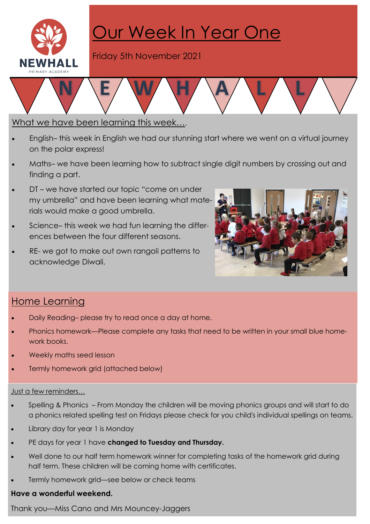

# Our Week In Year One

Friday 5th November 2021

### What we have been learning this week….

- English– this week in English we had our stunning start where we went on a virtual journey on the polar express!
- Maths– we have been learning how to subtract single digit numbers by crossing out and finding a part.
- DT we have started our topic "come on under my umbrella" and have been learning what materials would make a good umbrella.
- Science– this week we had fun learning the differences between the four different seasons.
- RE- we got to make out own rangoli patterns to acknowledge Diwali.



## Home Learning

- Daily Reading– please try to read once a day at home.
- · Phonics homework—Please complete any tasks that need to be written in your small blue homework books.
- Weekly maths seed lesson
- Termly homework grid (attached below)

#### Just a few reminders…

- · Spelling & Phonics From Monday the children will be moving phonics groups and will start to do a phonics related spelling test on Fridays please check for you child's individual spellings on teams.
- Library day for year 1 is Monday
- PE days for year 1 have changed to Tuesday and Thursday.
- Well done to our half term homework winner for completing tasks of the homework grid during half term. These children will be coming home with certificates.
- Termly homework grid—see below or check teams

#### Have a wonderful weekend.

Thank you—Miss Cano and Mrs Mouncey-Jaggers